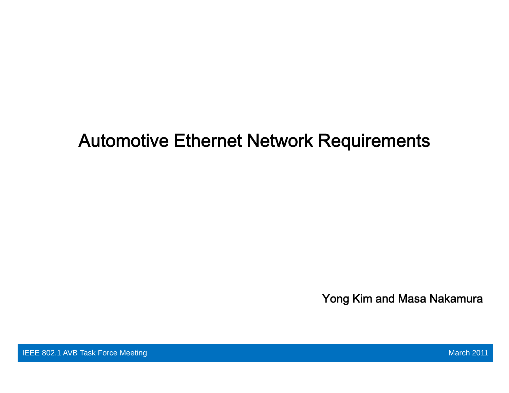# Automotive Ethernet Network Requirements

Yong Kim and Masa Nakamura

IEEE 802.1 AVB Task Force Meeting March 2011 Control of the Control of the Control of the March 2011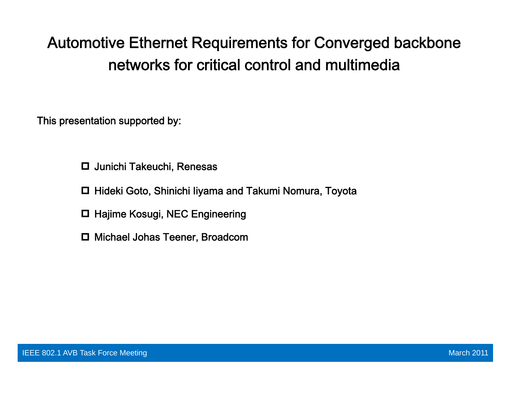## Automotive Ethernet Requirements for Converged backbone networks for critical control and multimedia

This presentation supported by: This presentation supported

- Junichi Takeuchi, Renesas
- Hideki Goto, Shinichi Iiyama and Takumi Nomura, Toyota
- □ Hajime Kosugi, NEC Engineering
- Michael Johas Teener, Broadcom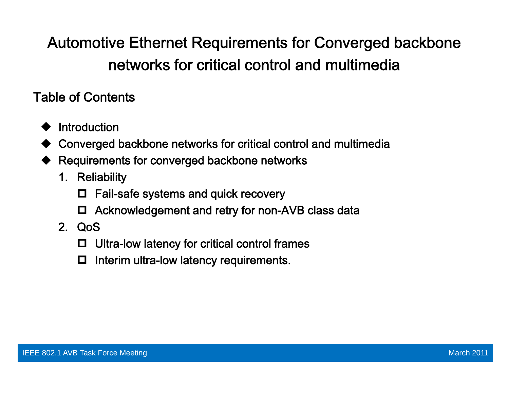## Automotive Ethernet Requirements for Converged backbone networks for critical control and multimedia

Table of Contents

- ♦ Introduction
- Converged backbone networks for critical control and multimedia
- ♦ Requirements for converged backbone networks
	- 1. Reliability
		- O. Fail-safe systems and quick recovery
		- Acknowledgement and retry for non-AVB class data
	- 2. QoS
		- $\Box$ Ultra-low latency for critical control frames
		- 0 Interim ultra-low latency requirements.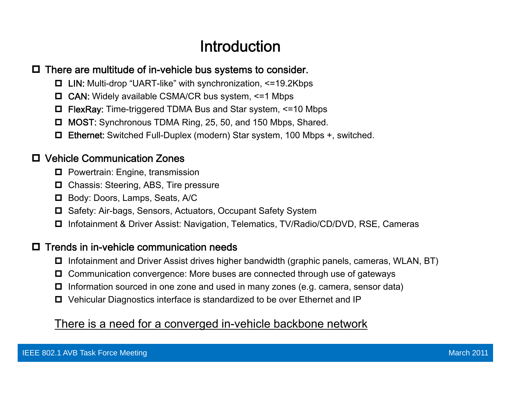## Introduction

#### $\Box$  There are multitude of in-vehicle bus systems to consider.

- LIN: Multi-drop "UART-like" with synchronization, <=19.2Kbps
- CAN: Widely available CSMA/CR bus system, <=1 Mbps
- FlexRay: Time-triggered TDMA Bus and Star system, <=10 Mbps
- □ MOST: Synchronous TDMA Ring, 25, 50, and 150 Mbps, Shared.
- Ethernet: Switched Full-Duplex (modern) Star system, 100 Mbps +, switched.

#### Vehicle Communication Zones

- $\blacksquare$  Powertrain: Engine, transmission
- **□** Chassis: Steering, ABS, Tire pressure
- Body: Doors, Lamps, Seats, A/C
- **□** Safety: Air-bags, Sensors, Actuators, Occupant Safety System
- **□** Infotainment & Driver Assist: Navigation, Telematics, TV/Radio/CD/DVD, RSE, Cameras

#### $\Box$  Trends in in-vehicle communication needs

- **□** Infotainment and Driver Assist drives higher bandwidth (graphic panels, cameras, WLAN, BT)
- $\Box$  Communication convergence: More buses are connected through use of gateways
- $\Box$  Information sourced in one zone and used in many zones (e.g. camera, sensor data)
- **□** Vehicular Diagnostics interface is standardized to be over Ethernet and IP

#### <u>There is a need for a converged in-vehicle backbone network</u>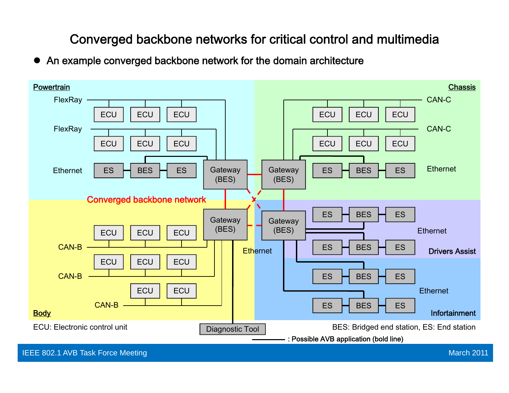## Converged backbone networks for critical control and multimedia

 $\bullet$ An example converged backbone network for the domain architecture

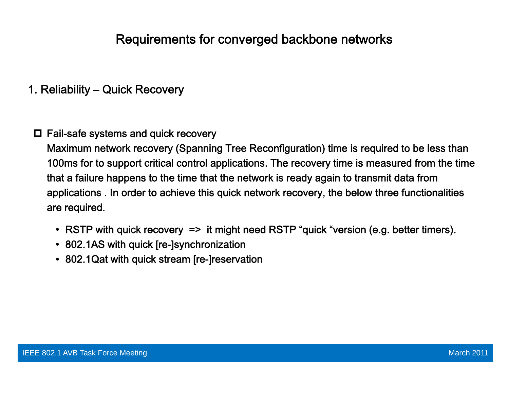1. Reliability – Quick Recovery

#### $\Box$  Fail-safe systems and quick recovery

Maximum network recovery (Spanning Tree Reconfiguration) time is required to be less than 100ms for to support critical control applications. The recovery time is measured from the time that a failure happens to the time that the network is ready again to transmit data from applications . In order to achieve this quick network recovery, the below three functionalities are required.

- RSTP with quick recovery => it might need RSTP "quick "version (e.g. better timers).
- 802.1AS with quick [re-]synchronization
- 802.1Qat with quick stream [re-]reservation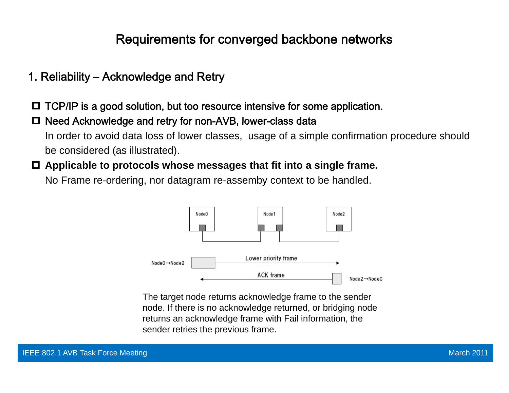- 1. Reliability Acknowledge and Retry
- □ TCP/IP is a good solution, but too resource intensive for some application.
- □ Need Acknowledge and retry for non-AVB, lower-class data In order to avoid data loss of lower classes, usage of a simple confirmation procedure should be considered (as illustrated).
- **Applicable to protocols whose messages that fit into a single frame.**

No Frame re-ordering, nor datagram re-assemby context to be handled.



The target node returns acknowledge frame to the sender node. If there is no acknowledge returned, or bridging node returns an acknowledge frame with Fail information, the<br>sender retries the previous frame.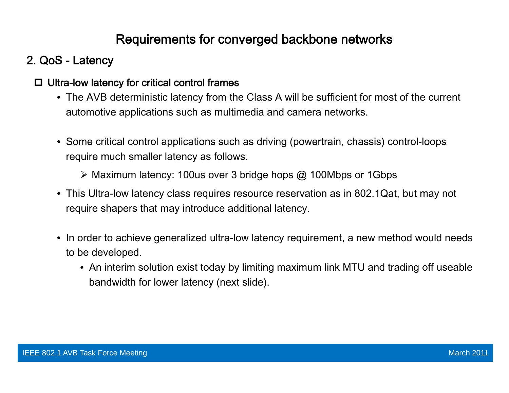## 2. QoS - Latency

#### $\Box$  Ultra-low latency for critical control frames

- The AVB deterministic latency from the Class A will be sufficient for most of the current automotive applications such as multimedia and camera networks.
- Some critical control applications such as driving (powertrain, chassis) control-loops require much smaller latency as follows.
	- $\triangleright$  Maximum latency: 100us over 3 bridge hops @ 100Mbps or 1Gbps
- This Ultra-low latency class requires resource reservation as in 802.1Qat, but may not require shapers that may introduce additional latency.
- In order to achieve generalized ultra-low latency requirement, a new method would needs to be developed.
	- $\bullet\,$  An interim solution exist today by limiting maximum link MTU and trading off useable bandwidth for lower latency (next slide).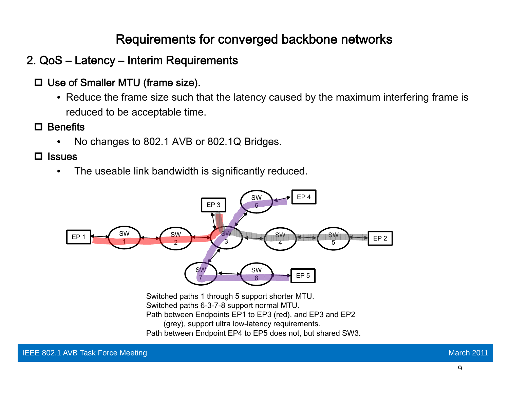### 2. QoS – Latency – Interim Requirements

- **□** Use of Smaller MTU (frame size).
	- Reduce the frame size such that the latency caused by the maximum interfering frame is reduced to be acceptable time.
- **□** Benefits
	- •No changes to 802.1 AVB or 802.1Q Bridges.
- $\square$  Issues
	- • $\bullet$  The useable link bandwidth is significantly reduced.



Switched paths 1 through 5 support shorter MTU. Switched paths 6-3-7-8 support normal MTU. Path between Endpoints EP1 to EP3 (red), and EP3 and EP2 (grey), support ultra low-latency requirements. Path between Endpoint EP4 to EP5 does not, but shared SW3.